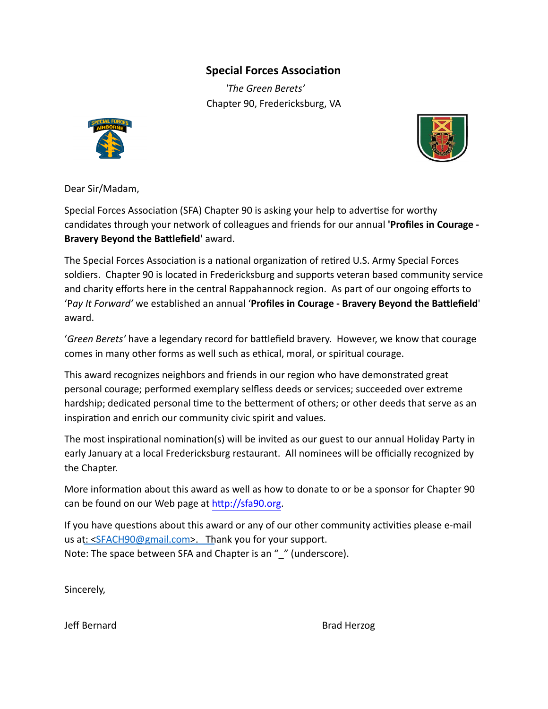## **Special Forces Association**

*'The Green Berets'*  Chapter 90, Fredericksburg, VA





Dear Sir/Madam,

Special Forces Association (SFA) Chapter 90 is asking your help to advertise for worthy candidates through your network of colleagues and friends for our annual **'Profiles in Courage - Bravery Beyond the Battlefield' award.** 

The Special Forces Association is a national organization of retired U.S. Army Special Forces soldiers. Chapter 90 is located in Fredericksburg and supports veteran based community service and charity efforts here in the central Rappahannock region. As part of our ongoing efforts to 'Pay It Forward' we established an annual 'Profiles in Courage - Bravery Beyond the Battlefield' award.

'Green Berets' have a legendary record for battlefield bravery. However, we know that courage comes in many other forms as well such as ethical, moral, or spiritual courage.

This award recognizes neighbors and friends in our region who have demonstrated great personal courage; performed exemplary selfless deeds or services; succeeded over extreme hardship; dedicated personal time to the betterment of others; or other deeds that serve as an inspiration and enrich our community civic spirit and values.

The most inspirational nomination(s) will be invited as our guest to our annual Holiday Party in early January at a local Fredericksburg restaurant. All nominees will be officially recognized by the Chapter.

More information about this award as well as how to donate to or be a sponsor for Chapter 90 can be found on our Web page at http://sfa90.org.

If you have questions about this award or any of our other community activities please e-mail us at: <SFACH90@[gmail.](mailto:SFA_Chapter90@hotmail.com)[com>. T](mailto:SFACH90@gmail.com)hank you for your support. Note: The space between SFA and Chapter is an " " (underscore).

Sincerely,

Jeff Bernard **Brad Herzog**